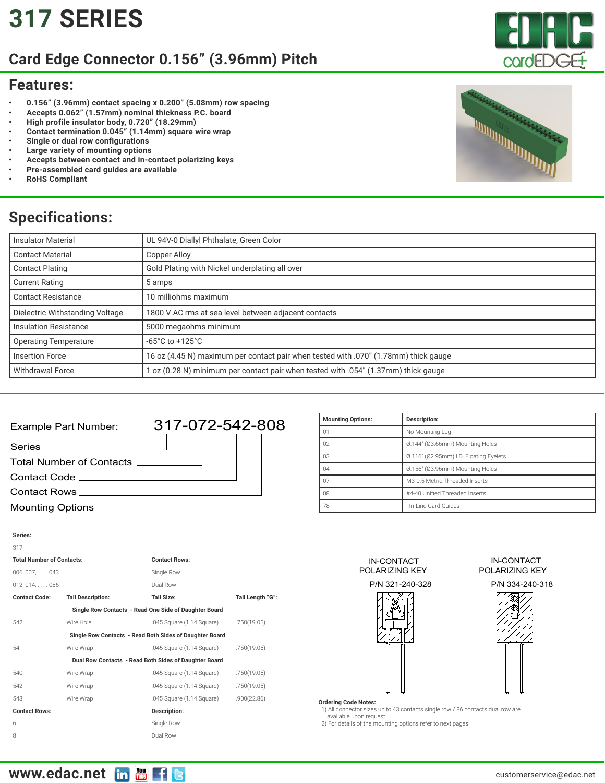# **[317](https://edac.net/series/317) SERIES**

## **Card Edge Connector 0.156" (3.96mm) Pitch**

### **Features:**

- **• 0.156" (3.96mm) contact spacing x 0.200" (5.08mm) row spacing**
- **• Accepts 0.062" (1.57mm) nominal thickness P.C. board**
- **• High profile insulator body, 0.720" (18.29mm)**
- **• Contact termination 0.045" (1.14mm) square wire wrap**
- **• Single or dual row configurations**
- **• Large variety of mounting options**
- **• Accepts between contact and in-contact polarizing keys**
- **• Pre-assembled card guides are available**
- **• RoHS Compliant**

## **Specifications:**

| <b>Insulator Material</b>       | UL 94V-0 Diallyl Phthalate, Green Color                                             |  |  |  |  |
|---------------------------------|-------------------------------------------------------------------------------------|--|--|--|--|
| <b>Contact Material</b>         | Copper Alloy                                                                        |  |  |  |  |
| <b>Contact Plating</b>          | Gold Plating with Nickel underplating all over                                      |  |  |  |  |
| <b>Current Rating</b>           | 5 amps                                                                              |  |  |  |  |
| <b>Contact Resistance</b>       | 10 milliohms maximum                                                                |  |  |  |  |
| Dielectric Withstanding Voltage | 1800 V AC rms at sea level between adjacent contacts                                |  |  |  |  |
| <b>Insulation Resistance</b>    | 5000 megaohms minimum                                                               |  |  |  |  |
| <b>Operating Temperature</b>    | $-65^{\circ}$ C to $+125^{\circ}$ C                                                 |  |  |  |  |
| <b>Insertion Force</b>          | 16 oz (4.45 N) maximum per contact pair when tested with .070" (1.78mm) thick gauge |  |  |  |  |
| <b>Withdrawal Force</b>         | oz (0.28 N) minimum per contact pair when tested with .054" (1.37mm) thick gauge    |  |  |  |  |

### Series \_ Contact Code Mounting Options Example Part Number: Contact Rows 317-072-542-808 Total Number of Contacts

| Description:                           |  |  |  |  |
|----------------------------------------|--|--|--|--|
| No Mounting Lug                        |  |  |  |  |
| Ø.144" (Ø3.66mm) Mounting Holes        |  |  |  |  |
| Ø.116" (Ø2.95mm) I.D. Floating Eyelets |  |  |  |  |
| Ø.156" (Ø3.96mm) Mounting Holes        |  |  |  |  |
| M3-0.5 Metric Threaded Inserts         |  |  |  |  |
| #4-40 Unified Threaded Inserts         |  |  |  |  |
| In-Line Card Guides                    |  |  |  |  |
|                                        |  |  |  |  |

| Series:                          |                          |                                                         |                  |  |  |  |
|----------------------------------|--------------------------|---------------------------------------------------------|------------------|--|--|--|
| 317                              |                          |                                                         |                  |  |  |  |
| <b>Total Number of Contacts:</b> |                          | <b>Contact Rows:</b>                                    |                  |  |  |  |
| $006, 007, \ldots$ . 043         |                          | Single Row                                              |                  |  |  |  |
| 012.014086                       |                          | Dual Row                                                |                  |  |  |  |
| <b>Contact Code:</b>             | <b>Tail Description:</b> | <b>Tail Size:</b>                                       | Tail Length "G": |  |  |  |
|                                  |                          | Single Row Contacts - Read One Side of Daughter Board   |                  |  |  |  |
| 542                              | Wire Hole                | .045 Square (1.14 Square)                               | .750(19.05)      |  |  |  |
|                                  |                          | Single Row Contacts - Read Both Sides of Daughter Board |                  |  |  |  |
| 541                              | Wire Wrap                | .045 Square (1.14 Square)                               | .750(19.05)      |  |  |  |
|                                  |                          | Dual Row Contacts - Read Both Sides of Daughter Board   |                  |  |  |  |
| 540                              | Wire Wrap                | .045 Square (1.14 Square)                               | .750(19.05)      |  |  |  |
| 542                              | Wire Wrap                | .045 Square (1.14 Square)                               | .750(19.05)      |  |  |  |
| 543                              | Wire Wrap                | .045 Square (1.14 Square)                               | .900(22.86)      |  |  |  |
| <b>Contact Rows:</b>             |                          | Description:                                            |                  |  |  |  |
| 6                                |                          | Single Row                                              |                  |  |  |  |
| 8                                |                          | Dual Row                                                |                  |  |  |  |



### IN-CONTACT POLARIZING KEY

P/N 334-240-318



#### **Ordering Code Notes:**

 1) All connector sizes up to 43 contacts single row / 86 contacts dual row are available upon request.

2) For details of the mounting options refer to next pages.



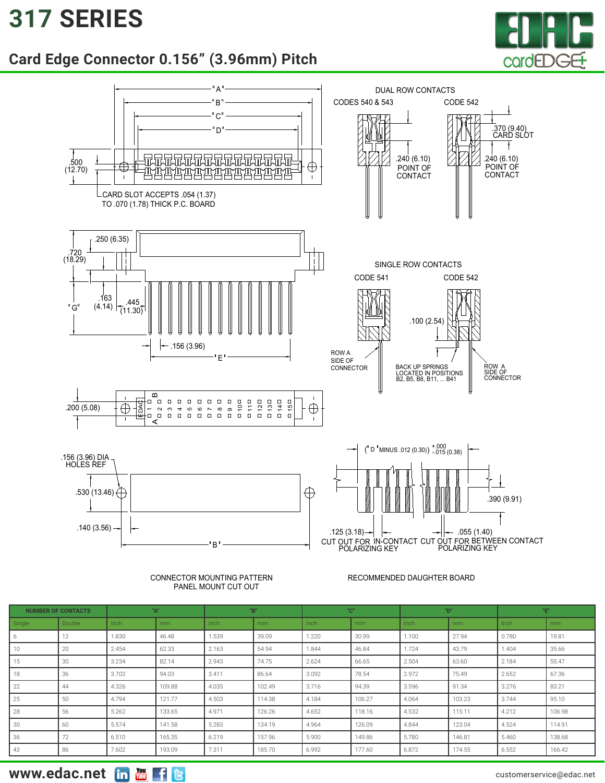## **[317](https://edac.net/series/317) SERIES**







#### CONNECTOR MOUNTING PATTERN PANEL MOUNT CUT OUT

### RECOMMENDED DAUGHTER BOARD

| <b>NUMBER OF CONTACTS</b> |        | "А"   |        | "B"   |        | "C"   |        | "D"   |        | "E"   |        |
|---------------------------|--------|-------|--------|-------|--------|-------|--------|-------|--------|-------|--------|
| Single                    | Double | Inch  | mm     | Inch  | mm     | Inch  | mm     | Inch  | mm     | Inch  | mm     |
| 6                         | 12     | 1.830 | 46.48  | 1.539 | 39.09  | 1.220 | 30.99  | 1.100 | 27.94  | 0.780 | 19.81  |
| 10                        | 20     | 2.454 | 62.33  | 2.163 | 54.94  | 1.844 | 46.84  | 1.724 | 43.79  | 1.404 | 35.66  |
| 15                        | 30     | 3.234 | 82.14  | 2.943 | 74.75  | 2.624 | 66.65  | 2.504 | 63.60  | 2.184 | 55.47  |
| 18                        | 36     | 3.702 | 94.03  | 3.411 | 86.64  | 3.092 | 78.54  | 2.972 | 75.49  | 2.652 | 67.36  |
| 22                        | 44     | 4.326 | 109.88 | 4.035 | 102.49 | 3.716 | 94.39  | 3.596 | 91.34  | 3.276 | 83.21  |
| 25                        | 50     | 4.794 | 121.77 | 4.503 | 114.38 | 4.184 | 106.27 | 4.064 | 103.23 | 3.744 | 95.10  |
| 28                        | 56     | 5.262 | 133.65 | 4.971 | 126.26 | 4.652 | 118.16 | 4.532 | 115.11 | 4.212 | 106.98 |
| 30                        | 60     | 5.574 | 141.58 | 5.283 | 134.19 | 4.964 | 126.09 | 4.844 | 123.04 | 4.524 | 114.91 |
| 36                        | 72     | 6.510 | 165.35 | 6.219 | 157.96 | 5.900 | 149.86 | 5.780 | 146.81 | 5.460 | 138.68 |
| 43                        | 86     | 7.602 | 193.09 | 7.311 | 185.70 | 6.992 | 177.60 | 6.872 | 174.55 | 6.552 | 166.42 |